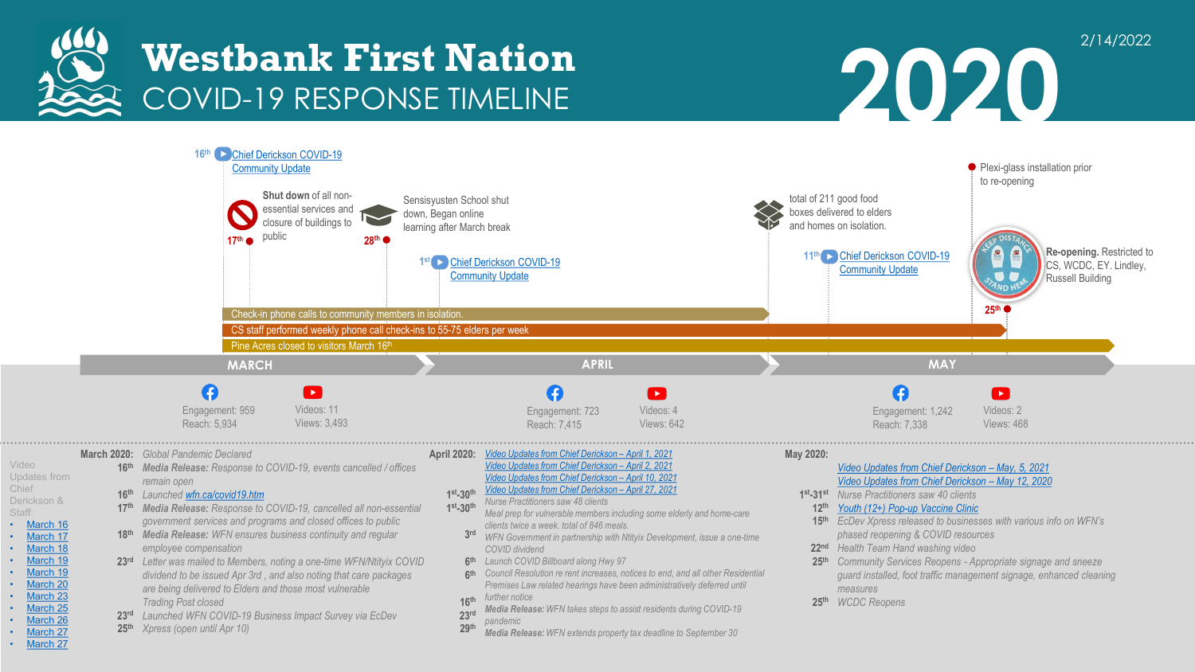

Video

Chief

Staff:



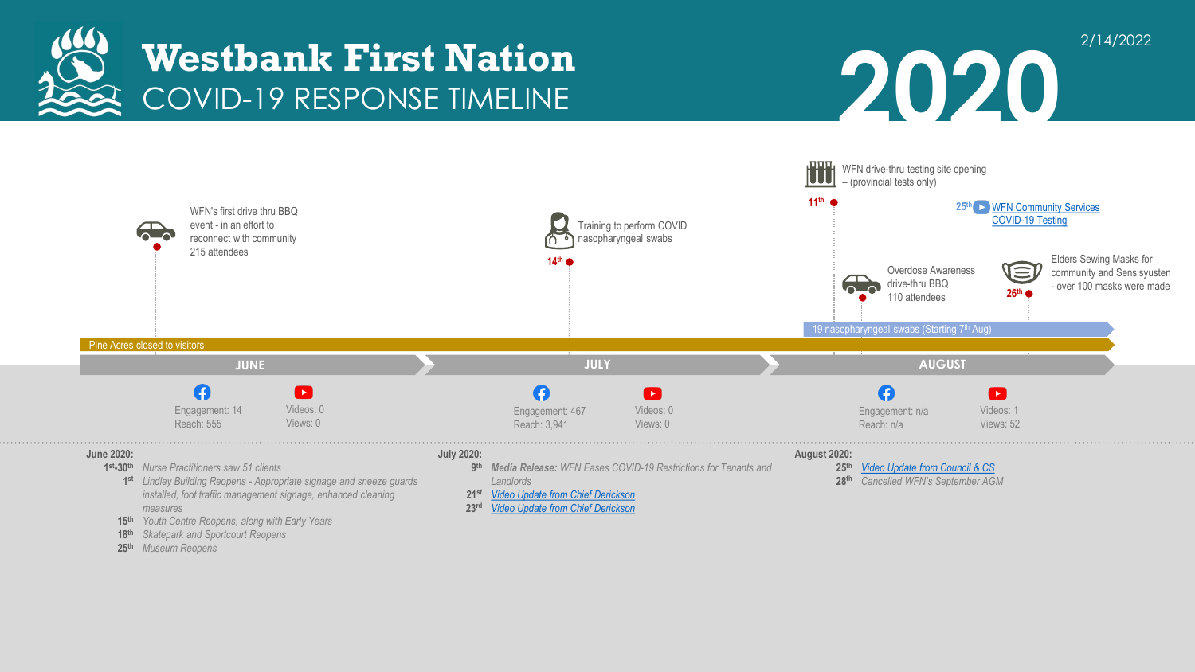





- *Lindley Building Reopens - Appropriate signage and sneeze guards*  **1st** *installed, foot traffic management signage, enhanced cleaning measures*
- *Youth Centre Reopens, along with Early Years* **15th**
- *Skatepark and Sportcourt Reopens* **18th**
- *Museum Reopens* **25th**
- *Landlords*
- *[Video Update from Chief Derickson](https://youtu.be/i9rEHQBd0MQ)* **21st**
- *[Video Update from Chief Derickson](https://youtu.be/-KUhszRGt7s)* **23rd**

*Cancelled WFN's September AGM* **28th**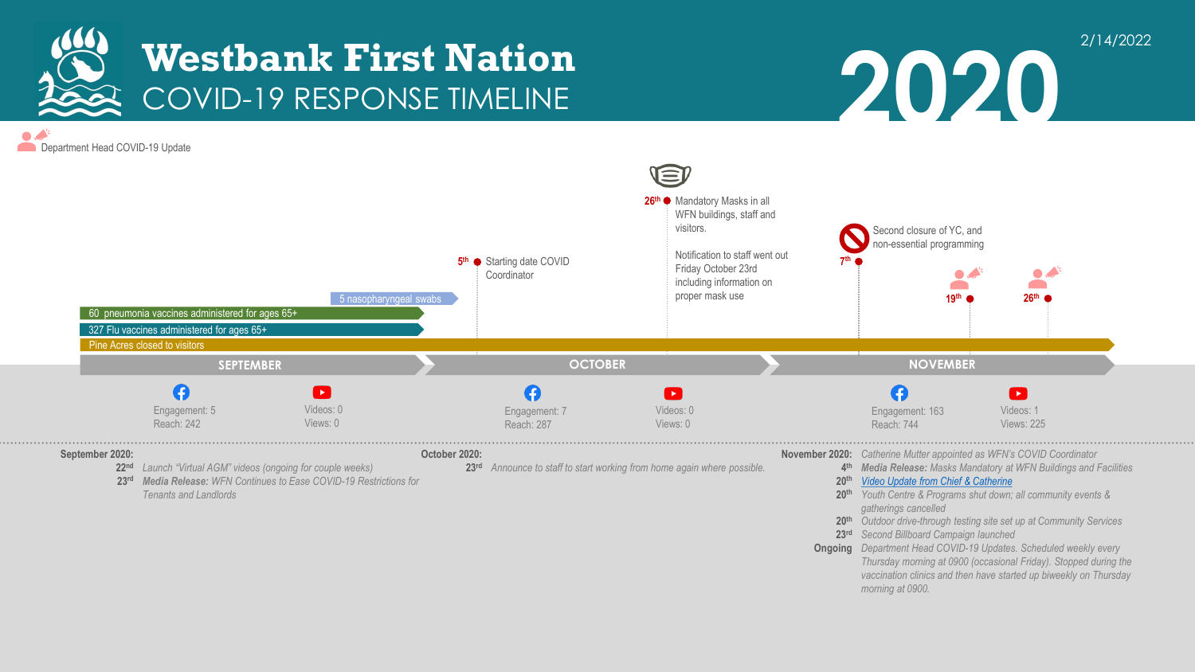

 $\bullet$ . Department Head COVID-19 Update



*gatherings cancelled*

*morning at 0900.*

*Second Billboard Campaign launched* **23rd**

**2020**

2/14/2022

*Outdoor drive-through testing site set up at Community Services* **20th**

*Thursday morning at 0900 (occasional Friday). Stopped during the vaccination clinics and then have started up biweekly on Thursday* 

**Ongoing** Department Head COVID-19 Updates. Scheduled weekly every

*Tenants and Landlords*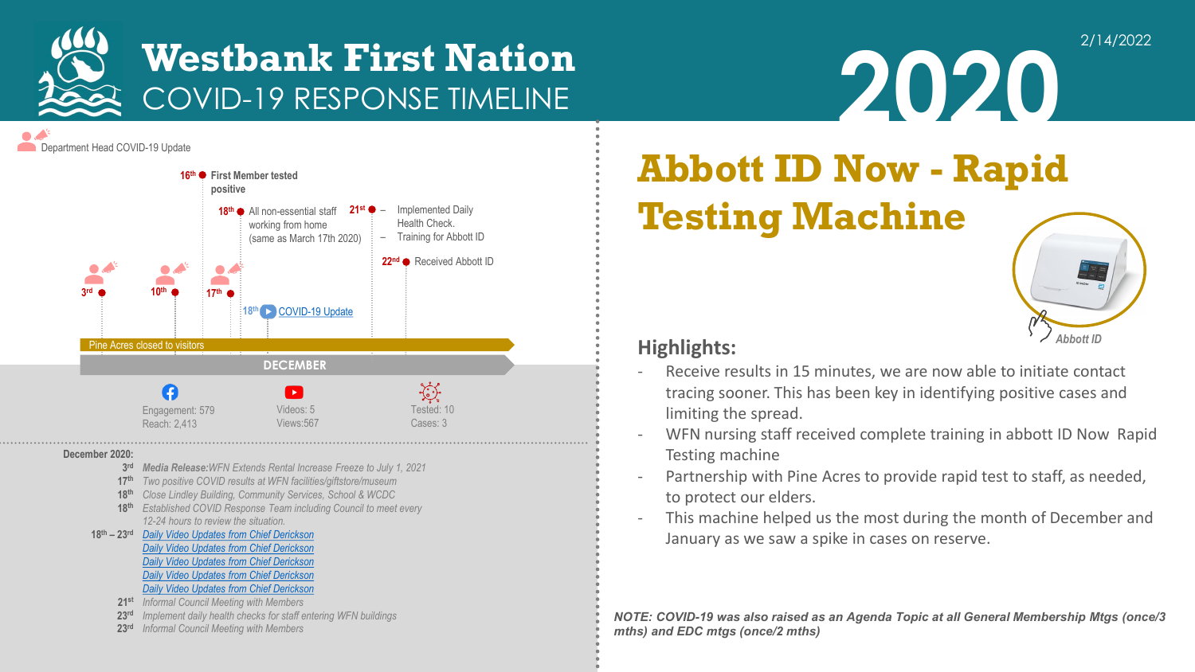

**2020**

**Department Head COVID-19 Update** 



#### **December 2020:**

- *Media Release:WFN Extends Rental Increase Freeze to July 1, 2021* **3rd**
- *Two positive COVID results at WFN facilities/giftstore/museum* **17th**
- *Close Lindley Building, Community Services, School & WCDC* **18th**
- *Established COVID Response Team including Council to meet every*  **18th** *12-24 hours to review the situation.*
- *[Daily Video Updates from Chief Derickson](https://youtu.be/koPzJm8tCr8)* **18th – 23rd** *[Daily Video Updates from Chief Derickson](https://youtu.be/vmtUQsfhOvE) [Daily Video Updates from Chief Derickson](https://youtu.be/OowiFqe_okw) [Daily Video Updates from Chief Derickson](https://youtu.be/MBuZkUadg2s) [Daily Video Updates from Chief Derickson](https://youtu.be/8_ywPk84XYk)*
	- *Informal Council Meeting with Members* **21st**
	- *Implement daily health checks for staff entering WFN buildings* **23rd**
	- *Informal Council Meeting with Members* **23rd**

# **Abbott ID Now - Rapid Testing Machine**



2/14/2022

### **Highlights:**

- Receive results in 15 minutes, we are now able to initiate contact tracing sooner. This has been key in identifying positive cases and limiting the spread.
- WFN nursing staff received complete training in abbott ID Now Rapid Testing machine
- Partnership with Pine Acres to provide rapid test to staff, as needed, to protect our elders.
- This machine helped us the most during the month of December and January as we saw a spike in cases on reserve.

*NOTE: COVID-19 was also raised as an Agenda Topic at all General Membership Mtgs (once/3 mths) and EDC mtgs (once/2 mths)*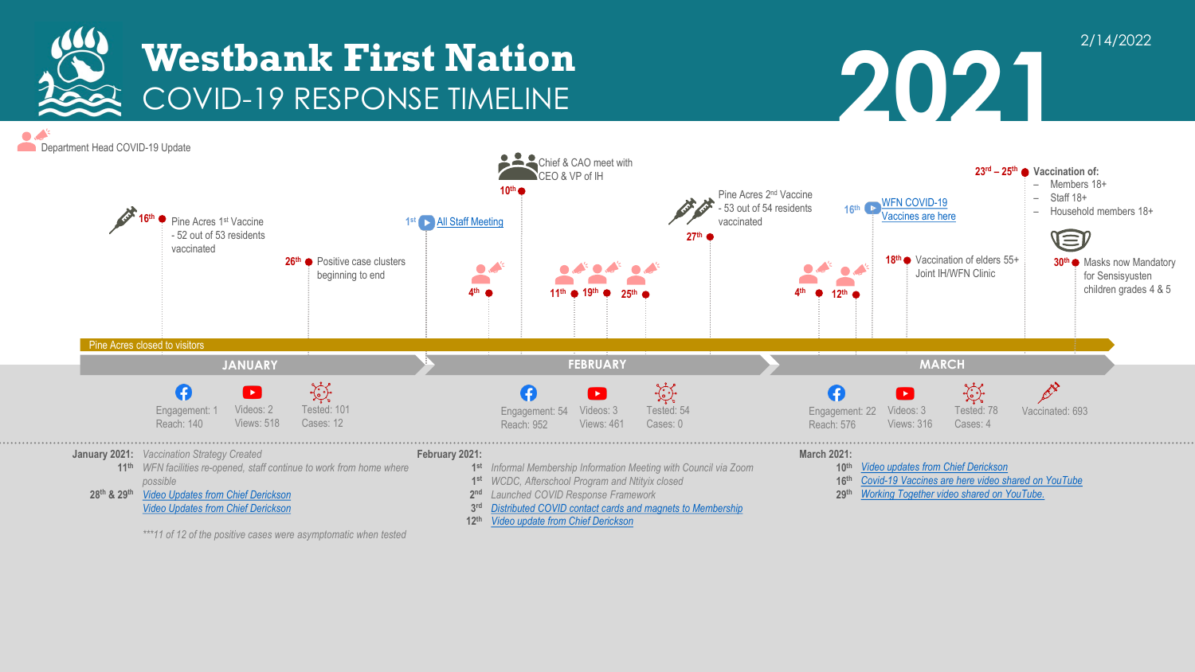



2/14/2022

 $\bullet$ . Department Head COVID-19 Update



*[Video update from Chief Derickson](https://youtu.be/vHcj195_OdE)*

**12th**

*\*\*\*11 of 12 of the positive cases were asymptomatic when tested*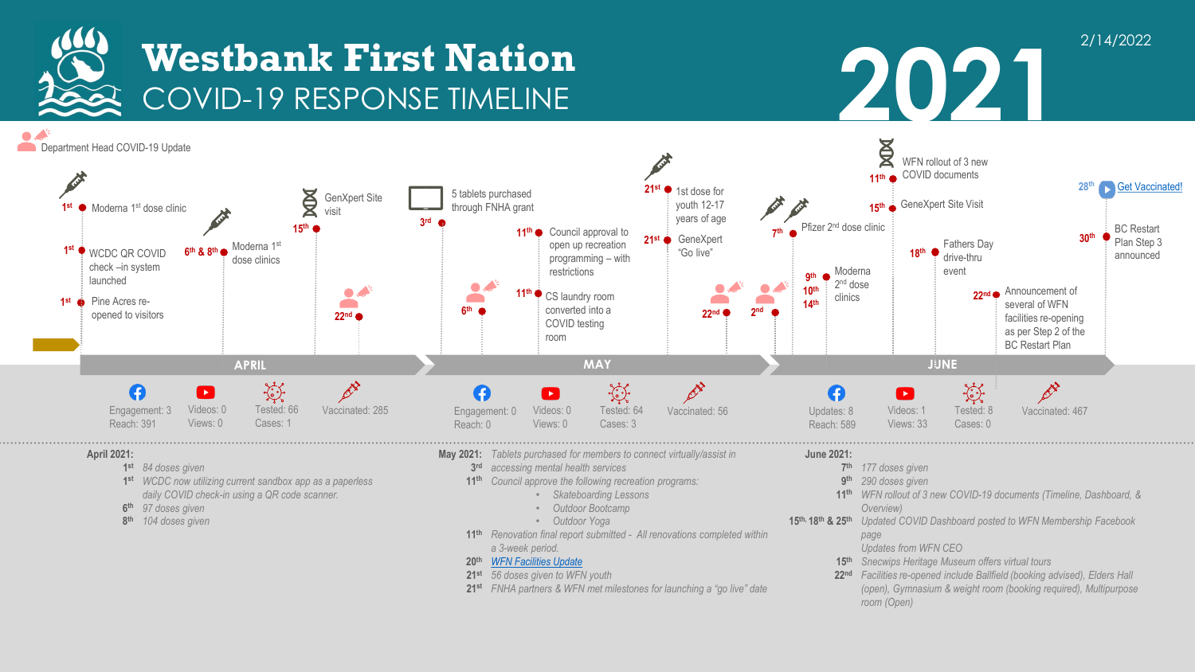

**2021** 

2/14/2022



- *a 3-week period. [WFN Facilities Update](https://www.wfn.ca/news/facilityupdate2021.htm?CategoryID=47070&Include=2&SortType=2&SortDirection=2)* **20th**
- *56 doses given to WFN youth*  **21st**
- *FNHA partners & WFN met milestones for launching a "go live" date* **21st**
- *Snecwips Heritage Museum offers virtual tours* **15th** *Facilities re-opened include Ballfield (booking advised), Elders Hall*  **22nd** *(open), Gymnasium & weight room (booking required), Multipurpose room (Open)*

*Updates from WFN CEO*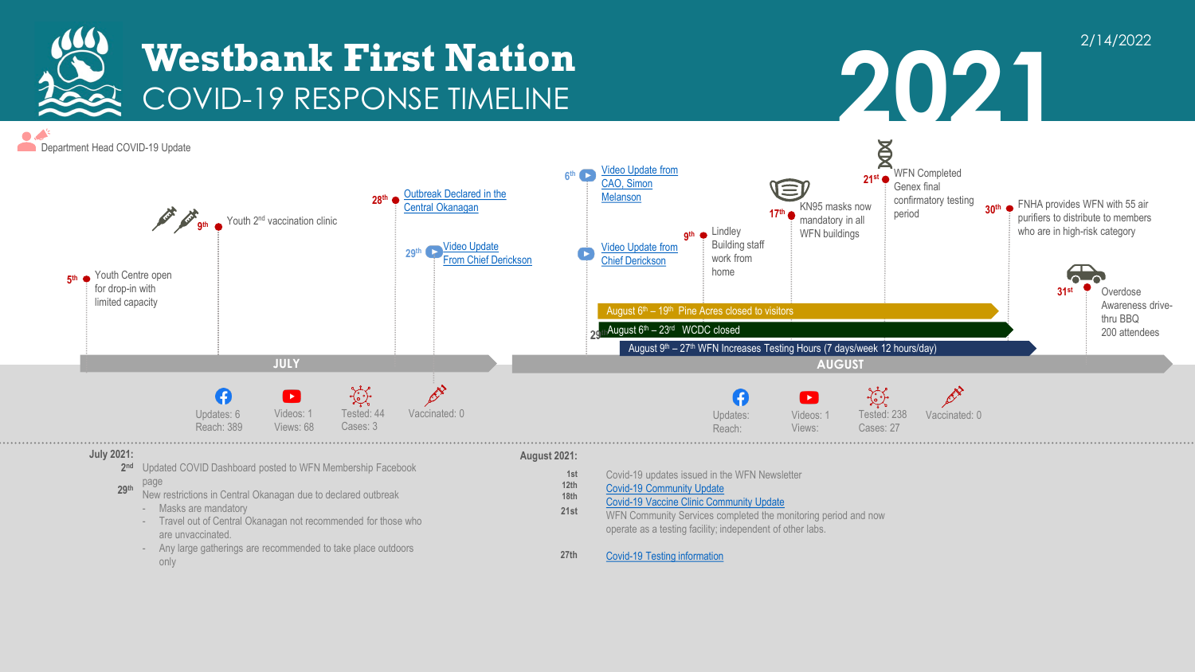

 $\bullet$ . Department Head COVID-19 Update



#### **July 2021:**

- Updated COVID Dashboard posted to WFN Membership Facebook **2nd**
- page New restrictions in Central Okanagan due to declared outbreak **29th** 
	- Masks are mandatory
	- Travel out of Central Okanagan not recommended for those who are unvaccinated.
	- Any large gatherings are recommended to take place outdoors only

#### **August 2021:**

**1st 12th 18th 21st**

- Covid-19 updates issued in the WFN Newsletter
- [Covid-19 Community Update](https://www.wfn.ca/news/ccupdate2.htm?CategoryID=47070&Include=2&SortType=2&SortDirection=2)
- [Covid-19 Vaccine Clinic Community Update](https://www.wfn.ca/news/vaxclinic.htm?CategoryID=47070&Include=2&SortType=2&SortDirection=2)
- WFN Community Services completed the monitoring period and now operate as a testing facility; independent of other labs.
- **27th** [Covid-19 Testing information](https://www.wfn.ca/news/covidtesting.htm?CategoryID=47070&Include=2&SortType=2&SortDirection=2)

#### 2/14/2022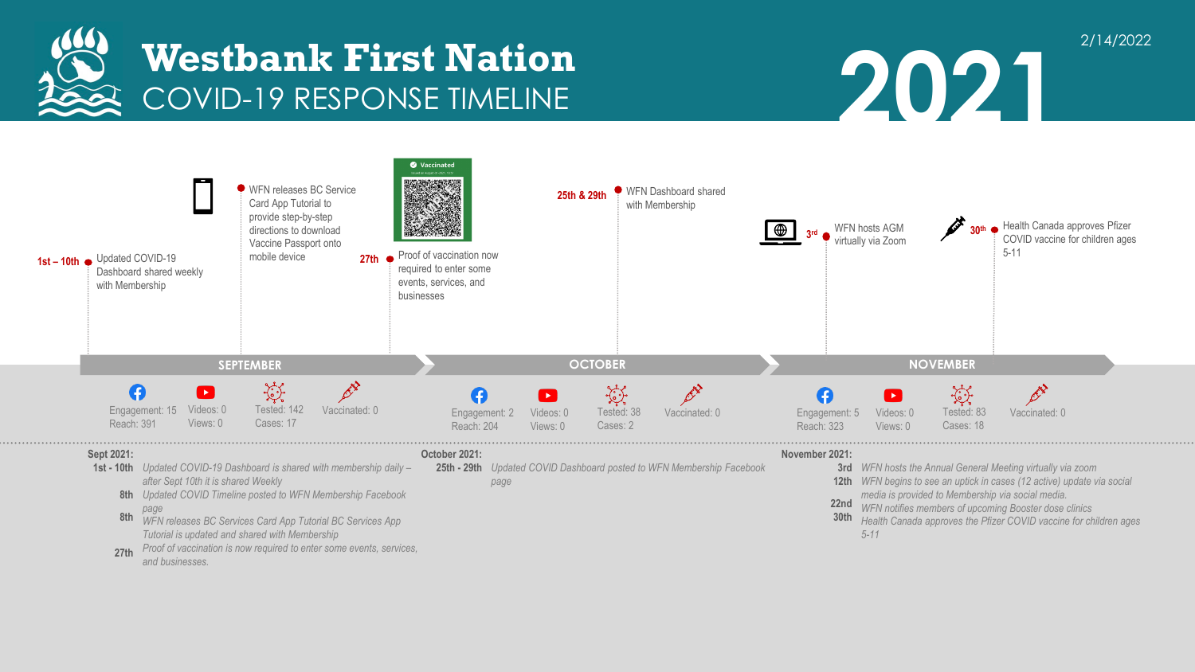



2/14/2022



- *Updated COVID-19 Dashboard is shared with membership daily –* **1st - 10th**  *after Sept 10th it is shared Weekly*
	- *Updated COVID Timeline posted to WFN Membership Facebook*  **8th** *page*
	- *WFN releases BC Services Card App Tutorial BC Services App Tutorial is updated and shared with Membership* **8th**
	- *Proof of vaccination is now required to enter some events, services, and businesses.* **27th**
- *Updated COVID Dashboard posted to WFN Membership Facebook*  **25th - 29th** *WFN hosts the Annual General Meeting virtually via zoom page*
- **3rd** WFN hosts the Annual General Meeting virtually via zoom
	- *WFN begins to see an uptick in cases (12 active) update via social*  **12th** *media is provided to Membership via social media.*
	- *WFN notifies members of upcoming Booster dose clinics* **22nd**
	- *Health Canada approves the Pfizer COVID vaccine for children ages 5-11* **30th**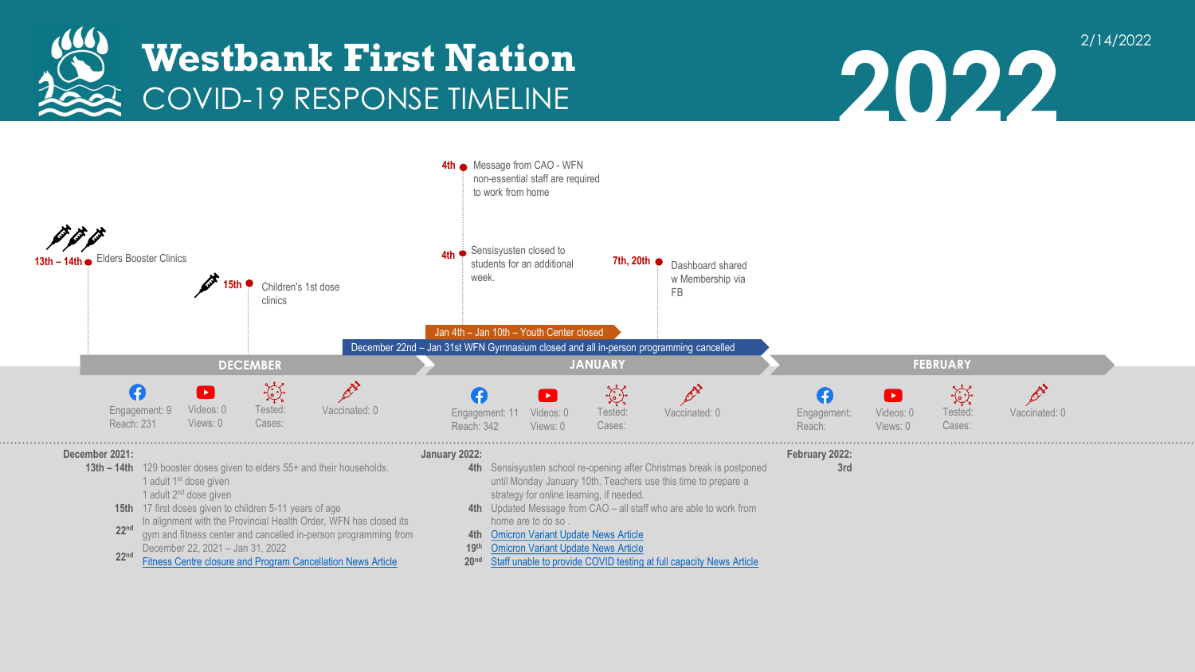



2/14/2022

**2022**